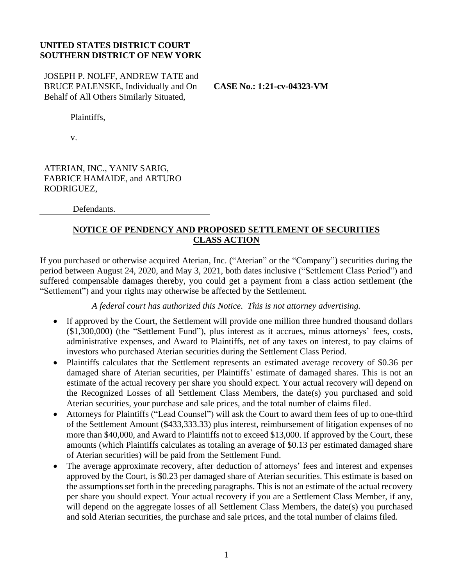### **UNITED STATES DISTRICT COURT SOUTHERN DISTRICT OF NEW YORK**

| JOSEPH P. NOLFF, ANDREW TATE and<br>BRUCE PALENSKE, Individually and On<br>Behalf of All Others Similarly Situated, | <b>CASE No.: 1:21-cv-04323-VM</b> |
|---------------------------------------------------------------------------------------------------------------------|-----------------------------------|
| Plaintiffs,                                                                                                         |                                   |
| V.                                                                                                                  |                                   |
| ATERIAN, INC., YANIV SARIG,<br>FABRICE HAMAIDE, and ARTURO<br>RODRIGUEZ,                                            |                                   |
| Defendants.                                                                                                         |                                   |

**NOTICE OF PENDENCY AND PROPOSED SETTLEMENT OF SECURITIES CLASS ACTION**

If you purchased or otherwise acquired Aterian, Inc. ("Aterian" or the "Company") securities during the period between August 24, 2020, and May 3, 2021, both dates inclusive ("Settlement Class Period") and suffered compensable damages thereby, you could get a payment from a class action settlement (the "Settlement") and your rights may otherwise be affected by the Settlement.

*A federal court has authorized this Notice. This is not attorney advertising.*

- If approved by the Court, the Settlement will provide one million three hundred thousand dollars (\$1,300,000) (the "Settlement Fund"), plus interest as it accrues, minus attorneys' fees, costs, administrative expenses, and Award to Plaintiffs, net of any taxes on interest, to pay claims of investors who purchased Aterian securities during the Settlement Class Period.
- Plaintiffs calculates that the Settlement represents an estimated average recovery of \$0.36 per damaged share of Aterian securities, per Plaintiffs' estimate of damaged shares. This is not an estimate of the actual recovery per share you should expect. Your actual recovery will depend on the Recognized Losses of all Settlement Class Members, the date(s) you purchased and sold Aterian securities, your purchase and sale prices, and the total number of claims filed.
- Attorneys for Plaintiffs ("Lead Counsel") will ask the Court to award them fees of up to one-third of the Settlement Amount (\$433,333.33) plus interest, reimbursement of litigation expenses of no more than \$40,000, and Award to Plaintiffs not to exceed \$13,000. If approved by the Court, these amounts (which Plaintiffs calculates as totaling an average of \$0.13 per estimated damaged share of Aterian securities) will be paid from the Settlement Fund.
- The average approximate recovery, after deduction of attorneys' fees and interest and expenses approved by the Court, is \$0.23 per damaged share of Aterian securities. This estimate is based on the assumptions set forth in the preceding paragraphs. This is not an estimate of the actual recovery per share you should expect. Your actual recovery if you are a Settlement Class Member, if any, will depend on the aggregate losses of all Settlement Class Members, the date(s) you purchased and sold Aterian securities, the purchase and sale prices, and the total number of claims filed.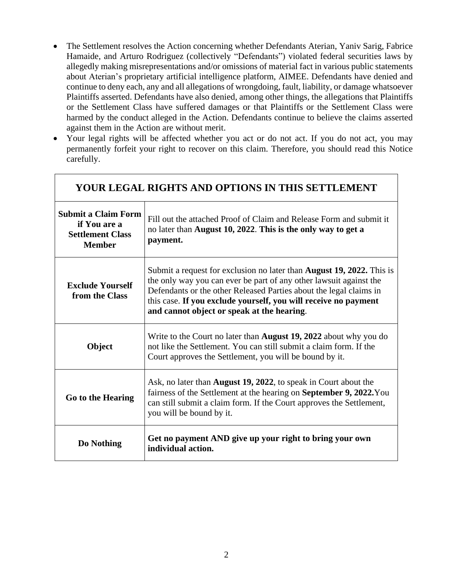- The Settlement resolves the Action concerning whether Defendants Aterian, Yaniv Sarig, Fabrice Hamaide, and Arturo Rodriguez (collectively "Defendants") violated federal securities laws by allegedly making misrepresentations and/or omissions of material fact in various public statements about Aterian's proprietary artificial intelligence platform, AIMEE. Defendants have denied and continue to deny each, any and all allegations of wrongdoing, fault, liability, or damage whatsoever Plaintiffs asserted. Defendants have also denied, among other things, the allegations that Plaintiffs or the Settlement Class have suffered damages or that Plaintiffs or the Settlement Class were harmed by the conduct alleged in the Action. Defendants continue to believe the claims asserted against them in the Action are without merit.
- Your legal rights will be affected whether you act or do not act. If you do not act, you may permanently forfeit your right to recover on this claim. Therefore, you should read this Notice carefully.

| YOUR LEGAL RIGHTS AND OPTIONS IN THIS SETTLEMENT                                       |                                                                                                                                                                                                                                                                                                                                           |  |  |  |
|----------------------------------------------------------------------------------------|-------------------------------------------------------------------------------------------------------------------------------------------------------------------------------------------------------------------------------------------------------------------------------------------------------------------------------------------|--|--|--|
| <b>Submit a Claim Form</b><br>if You are a<br><b>Settlement Class</b><br><b>Member</b> | Fill out the attached Proof of Claim and Release Form and submit it<br>no later than August 10, 2022. This is the only way to get a<br>payment.                                                                                                                                                                                           |  |  |  |
| <b>Exclude Yourself</b><br>from the Class                                              | Submit a request for exclusion no later than <b>August 19, 2022.</b> This is<br>the only way you can ever be part of any other lawsuit against the<br>Defendants or the other Released Parties about the legal claims in<br>this case. If you exclude yourself, you will receive no payment<br>and cannot object or speak at the hearing. |  |  |  |
| Object                                                                                 | Write to the Court no later than <b>August 19, 2022</b> about why you do<br>not like the Settlement. You can still submit a claim form. If the<br>Court approves the Settlement, you will be bound by it.                                                                                                                                 |  |  |  |
| Go to the Hearing                                                                      | Ask, no later than <b>August 19, 2022</b> , to speak in Court about the<br>fairness of the Settlement at the hearing on <b>September 9, 2022.</b> You<br>can still submit a claim form. If the Court approves the Settlement,<br>you will be bound by it.                                                                                 |  |  |  |
| Do Nothing                                                                             | Get no payment AND give up your right to bring your own<br>individual action.                                                                                                                                                                                                                                                             |  |  |  |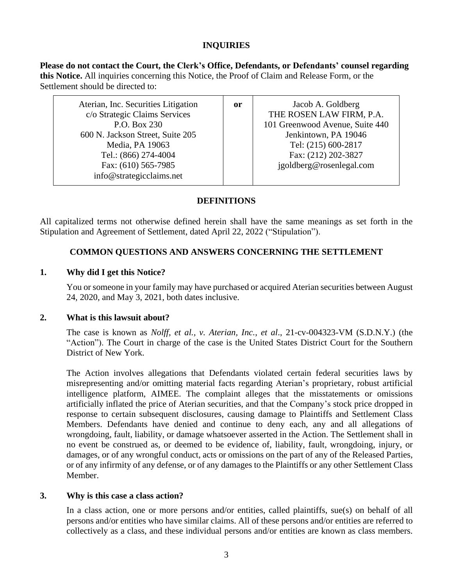# **INQUIRIES**

**Please do not contact the Court, the Clerk's Office, Defendants, or Defendants' counsel regarding this Notice.** All inquiries concerning this Notice, the Proof of Claim and Release Form, or the Settlement should be directed to:

| Aterian, Inc. Securities Litigation<br>c/o Strategic Claims Services | 0r | Jacob A. Goldberg<br>THE ROSEN LAW FIRM, P.A. |
|----------------------------------------------------------------------|----|-----------------------------------------------|
| P.O. Box 230                                                         |    | 101 Greenwood Avenue, Suite 440               |
| 600 N. Jackson Street, Suite 205                                     |    | Jenkintown, PA 19046                          |
| Media, PA 19063                                                      |    | Tel: (215) 600-2817                           |
| Tel.: (866) 274-4004                                                 |    | Fax: (212) 202-3827                           |
| Fax: (610) 565-7985<br>info@strategicclaims.net                      |    | igoldberg@rosenlegal.com                      |

### **DEFINITIONS**

All capitalized terms not otherwise defined herein shall have the same meanings as set forth in the Stipulation and Agreement of Settlement, dated April 22, 2022 ("Stipulation").

# **COMMON QUESTIONS AND ANSWERS CONCERNING THE SETTLEMENT**

### **1. Why did I get this Notice?**

You or someone in your family may have purchased or acquired Aterian securities between August 24, 2020, and May 3, 2021, both dates inclusive.

### **2. What is this lawsuit about?**

The case is known as *Nolff, et al., v. Aterian, Inc.*, *et al*., 21-cv-004323-VM (S.D.N.Y.) (the "Action"). The Court in charge of the case is the United States District Court for the Southern District of New York.

The Action involves allegations that Defendants violated certain federal securities laws by misrepresenting and/or omitting material facts regarding Aterian's proprietary, robust artificial intelligence platform, AIMEE. The complaint alleges that the misstatements or omissions artificially inflated the price of Aterian securities, and that the Company's stock price dropped in response to certain subsequent disclosures, causing damage to Plaintiffs and Settlement Class Members. Defendants have denied and continue to deny each, any and all allegations of wrongdoing, fault, liability, or damage whatsoever asserted in the Action. The Settlement shall in no event be construed as, or deemed to be evidence of, liability, fault, wrongdoing, injury, or damages, or of any wrongful conduct, acts or omissions on the part of any of the Released Parties, or of any infirmity of any defense, or of any damages to the Plaintiffs or any other Settlement Class Member.

### **3. Why is this case a class action?**

In a class action, one or more persons and/or entities, called plaintiffs, sue(s) on behalf of all persons and/or entities who have similar claims. All of these persons and/or entities are referred to collectively as a class, and these individual persons and/or entities are known as class members.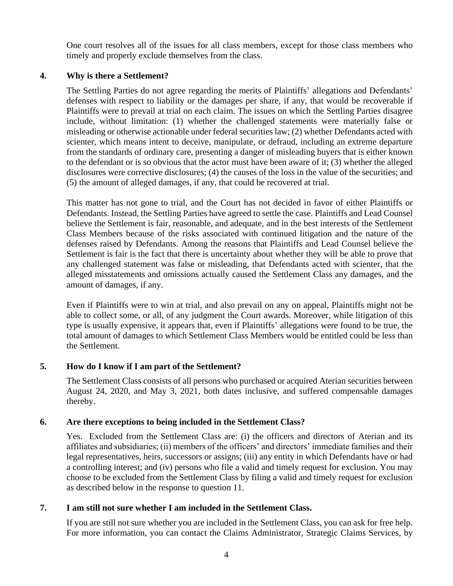One court resolves all of the issues for all class members, except for those class members who timely and properly exclude themselves from the class.

## **4. Why is there a Settlement?**

The Settling Parties do not agree regarding the merits of Plaintiffs' allegations and Defendants' defenses with respect to liability or the damages per share, if any, that would be recoverable if Plaintiffs were to prevail at trial on each claim. The issues on which the Settling Parties disagree include, without limitation: (1) whether the challenged statements were materially false or misleading or otherwise actionable under federal securities law; (2) whether Defendants acted with scienter, which means intent to deceive, manipulate, or defraud, including an extreme departure from the standards of ordinary care, presenting a danger of misleading buyers that is either known to the defendant or is so obvious that the actor must have been aware of it; (3) whether the alleged disclosures were corrective disclosures; (4) the causes of the loss in the value of the securities; and (5) the amount of alleged damages, if any, that could be recovered at trial.

This matter has not gone to trial, and the Court has not decided in favor of either Plaintiffs or Defendants. Instead, the Settling Parties have agreed to settle the case. Plaintiffs and Lead Counsel believe the Settlement is fair, reasonable, and adequate, and in the best interests of the Settlement Class Members because of the risks associated with continued litigation and the nature of the defenses raised by Defendants. Among the reasons that Plaintiffs and Lead Counsel believe the Settlement is fair is the fact that there is uncertainty about whether they will be able to prove that any challenged statement was false or misleading, that Defendants acted with scienter, that the alleged misstatements and omissions actually caused the Settlement Class any damages, and the amount of damages, if any.

Even if Plaintiffs were to win at trial, and also prevail on any on appeal, Plaintiffs might not be able to collect some, or all, of any judgment the Court awards. Moreover, while litigation of this type is usually expensive, it appears that, even if Plaintiffs' allegations were found to be true, the total amount of damages to which Settlement Class Members would be entitled could be less than the Settlement.

## **5. How do I know if I am part of the Settlement?**

The Settlement Class consists of all persons who purchased or acquired Aterian securities between August 24, 2020, and May 3, 2021, both dates inclusive, and suffered compensable damages thereby.

### **6. Are there exceptions to being included in the Settlement Class?**

Yes. Excluded from the Settlement Class are: (i) the officers and directors of Aterian and its affiliates and subsidiaries; (ii) members of the officers' and directors' immediate families and their legal representatives, heirs, successors or assigns; (iii) any entity in which Defendants have or had a controlling interest; and (iv) persons who file a valid and timely request for exclusion. You may choose to be excluded from the Settlement Class by filing a valid and timely request for exclusion as described below in the response to question 11.

## **7. I am still not sure whether I am included in the Settlement Class.**

If you are still not sure whether you are included in the Settlement Class, you can ask for free help. For more information, you can contact the Claims Administrator, Strategic Claims Services, by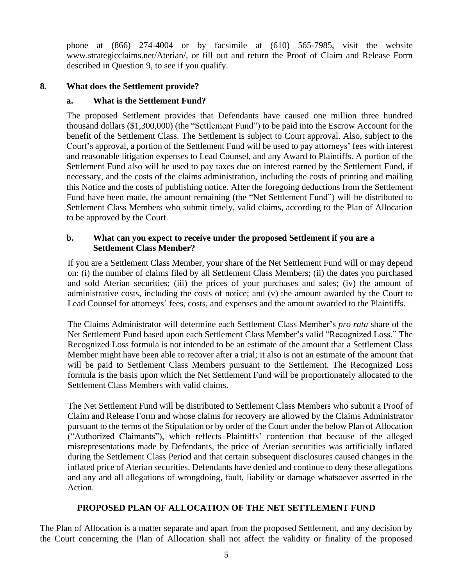phone at (866) 274-4004 or by facsimile at (610) 565-7985, visit the website www.strategicclaims.net/Aterian/, or fill out and return the Proof of Claim and Release Form described in Question 9, to see if you qualify.

# **8. What does the Settlement provide?**

# **a. What is the Settlement Fund?**

The proposed Settlement provides that Defendants have caused one million three hundred thousand dollars (\$1,300,000) (the "Settlement Fund") to be paid into the Escrow Account for the benefit of the Settlement Class. The Settlement is subject to Court approval. Also, subject to the Court's approval, a portion of the Settlement Fund will be used to pay attorneys' fees with interest and reasonable litigation expenses to Lead Counsel, and any Award to Plaintiffs. A portion of the Settlement Fund also will be used to pay taxes due on interest earned by the Settlement Fund, if necessary, and the costs of the claims administration, including the costs of printing and mailing this Notice and the costs of publishing notice. After the foregoing deductions from the Settlement Fund have been made, the amount remaining (the "Net Settlement Fund") will be distributed to Settlement Class Members who submit timely, valid claims, according to the Plan of Allocation to be approved by the Court.

## **b. What can you expect to receive under the proposed Settlement if you are a Settlement Class Member?**

If you are a Settlement Class Member, your share of the Net Settlement Fund will or may depend on: (i) the number of claims filed by all Settlement Class Members; (ii) the dates you purchased and sold Aterian securities; (iii) the prices of your purchases and sales; (iv) the amount of administrative costs, including the costs of notice; and (v) the amount awarded by the Court to Lead Counsel for attorneys' fees, costs, and expenses and the amount awarded to the Plaintiffs.

The Claims Administrator will determine each Settlement Class Member's *pro rata* share of the Net Settlement Fund based upon each Settlement Class Member's valid "Recognized Loss." The Recognized Loss formula is not intended to be an estimate of the amount that a Settlement Class Member might have been able to recover after a trial; it also is not an estimate of the amount that will be paid to Settlement Class Members pursuant to the Settlement. The Recognized Loss formula is the basis upon which the Net Settlement Fund will be proportionately allocated to the Settlement Class Members with valid claims.

The Net Settlement Fund will be distributed to Settlement Class Members who submit a Proof of Claim and Release Form and whose claims for recovery are allowed by the Claims Administrator pursuant to the terms of the Stipulation or by order of the Court under the below Plan of Allocation ("Authorized Claimants"), which reflects Plaintiffs' contention that because of the alleged misrepresentations made by Defendants, the price of Aterian securities was artificially inflated during the Settlement Class Period and that certain subsequent disclosures caused changes in the inflated price of Aterian securities. Defendants have denied and continue to deny these allegations and any and all allegations of wrongdoing, fault, liability or damage whatsoever asserted in the Action.

# **PROPOSED PLAN OF ALLOCATION OF THE NET SETTLEMENT FUND**

The Plan of Allocation is a matter separate and apart from the proposed Settlement, and any decision by the Court concerning the Plan of Allocation shall not affect the validity or finality of the proposed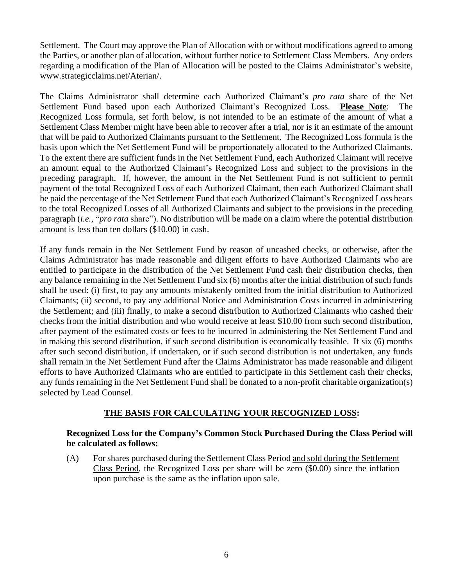Settlement. The Court may approve the Plan of Allocation with or without modifications agreed to among the Parties, or another plan of allocation, without further notice to Settlement Class Members. Any orders regarding a modification of the Plan of Allocation will be posted to the Claims Administrator's website, www.strategicclaims.net/Aterian/.

The Claims Administrator shall determine each Authorized Claimant's *pro rata* share of the Net Settlement Fund based upon each Authorized Claimant's Recognized Loss. **Please Note**: The Recognized Loss formula, set forth below, is not intended to be an estimate of the amount of what a Settlement Class Member might have been able to recover after a trial, nor is it an estimate of the amount that will be paid to Authorized Claimants pursuant to the Settlement. The Recognized Loss formula is the basis upon which the Net Settlement Fund will be proportionately allocated to the Authorized Claimants. To the extent there are sufficient funds in the Net Settlement Fund, each Authorized Claimant will receive an amount equal to the Authorized Claimant's Recognized Loss and subject to the provisions in the preceding paragraph. If, however, the amount in the Net Settlement Fund is not sufficient to permit payment of the total Recognized Loss of each Authorized Claimant, then each Authorized Claimant shall be paid the percentage of the Net Settlement Fund that each Authorized Claimant's Recognized Loss bears to the total Recognized Losses of all Authorized Claimants and subject to the provisions in the preceding paragraph (*i.e.*, "*pro rata* share"). No distribution will be made on a claim where the potential distribution amount is less than ten dollars (\$10.00) in cash.

If any funds remain in the Net Settlement Fund by reason of uncashed checks, or otherwise, after the Claims Administrator has made reasonable and diligent efforts to have Authorized Claimants who are entitled to participate in the distribution of the Net Settlement Fund cash their distribution checks, then any balance remaining in the Net Settlement Fund six (6) months after the initial distribution of such funds shall be used: (i) first, to pay any amounts mistakenly omitted from the initial distribution to Authorized Claimants; (ii) second, to pay any additional Notice and Administration Costs incurred in administering the Settlement; and (iii) finally, to make a second distribution to Authorized Claimants who cashed their checks from the initial distribution and who would receive at least \$10.00 from such second distribution, after payment of the estimated costs or fees to be incurred in administering the Net Settlement Fund and in making this second distribution, if such second distribution is economically feasible. If six (6) months after such second distribution, if undertaken, or if such second distribution is not undertaken, any funds shall remain in the Net Settlement Fund after the Claims Administrator has made reasonable and diligent efforts to have Authorized Claimants who are entitled to participate in this Settlement cash their checks, any funds remaining in the Net Settlement Fund shall be donated to a non-profit charitable organization(s) selected by Lead Counsel.

## **THE BASIS FOR CALCULATING YOUR RECOGNIZED LOSS:**

### **Recognized Loss for the Company's Common Stock Purchased During the Class Period will be calculated as follows:**

(A) For shares purchased during the Settlement Class Period and sold during the Settlement Class Period, the Recognized Loss per share will be zero (\$0.00) since the inflation upon purchase is the same as the inflation upon sale.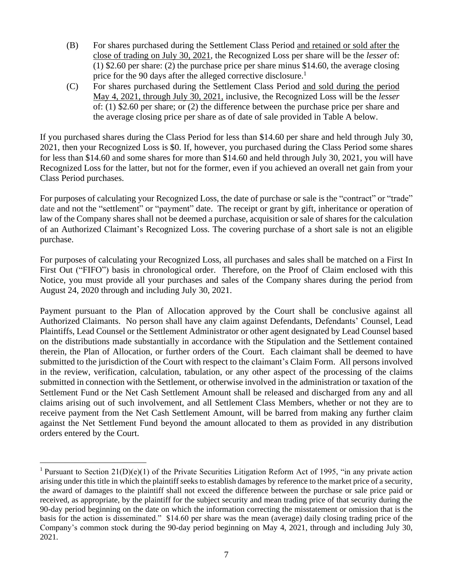- (B) For shares purchased during the Settlement Class Period and retained or sold after the close of trading on July 30, 2021, the Recognized Loss per share will be the *lesser* of: (1) \$2.60 per share: (2) the purchase price per share minus \$14.60, the average closing price for the 90 days after the alleged corrective disclosure.<sup>1</sup>
- (C) For shares purchased during the Settlement Class Period and sold during the period May 4, 2021, through July 30, 2021, inclusive, the Recognized Loss will be the *lesser* of: (1) \$2.60 per share; or (2) the difference between the purchase price per share and the average closing price per share as of date of sale provided in Table A below.

If you purchased shares during the Class Period for less than \$14.60 per share and held through July 30, 2021, then your Recognized Loss is \$0. If, however, you purchased during the Class Period some shares for less than \$14.60 and some shares for more than \$14.60 and held through July 30, 2021, you will have Recognized Loss for the latter, but not for the former, even if you achieved an overall net gain from your Class Period purchases.

For purposes of calculating your Recognized Loss, the date of purchase or sale is the "contract" or "trade" date and not the "settlement" or "payment" date. The receipt or grant by gift, inheritance or operation of law of the Company shares shall not be deemed a purchase, acquisition or sale of shares for the calculation of an Authorized Claimant's Recognized Loss. The covering purchase of a short sale is not an eligible purchase.

For purposes of calculating your Recognized Loss, all purchases and sales shall be matched on a First In First Out ("FIFO") basis in chronological order. Therefore, on the Proof of Claim enclosed with this Notice, you must provide all your purchases and sales of the Company shares during the period from August 24, 2020 through and including July 30, 2021.

Payment pursuant to the Plan of Allocation approved by the Court shall be conclusive against all Authorized Claimants. No person shall have any claim against Defendants, Defendants' Counsel, Lead Plaintiffs, Lead Counsel or the Settlement Administrator or other agent designated by Lead Counsel based on the distributions made substantially in accordance with the Stipulation and the Settlement contained therein, the Plan of Allocation, or further orders of the Court. Each claimant shall be deemed to have submitted to the jurisdiction of the Court with respect to the claimant's Claim Form. All persons involved in the review, verification, calculation, tabulation, or any other aspect of the processing of the claims submitted in connection with the Settlement, or otherwise involved in the administration or taxation of the Settlement Fund or the Net Cash Settlement Amount shall be released and discharged from any and all claims arising out of such involvement, and all Settlement Class Members, whether or not they are to receive payment from the Net Cash Settlement Amount, will be barred from making any further claim against the Net Settlement Fund beyond the amount allocated to them as provided in any distribution orders entered by the Court.

<sup>&</sup>lt;sup>1</sup> Pursuant to Section 21(D)(e)(1) of the Private Securities Litigation Reform Act of 1995, "in any private action arising under this title in which the plaintiff seeks to establish damages by reference to the market price of a security, the award of damages to the plaintiff shall not exceed the difference between the purchase or sale price paid or received, as appropriate, by the plaintiff for the subject security and mean trading price of that security during the 90-day period beginning on the date on which the information correcting the misstatement or omission that is the basis for the action is disseminated." \$14.60 per share was the mean (average) daily closing trading price of the Company's common stock during the 90-day period beginning on May 4, 2021, through and including July 30, 2021.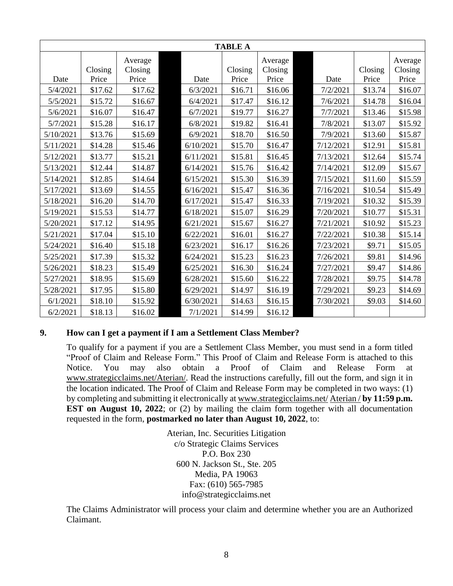| <b>TABLE A</b> |         |                    |  |           |         |                    |  |           |         |                    |
|----------------|---------|--------------------|--|-----------|---------|--------------------|--|-----------|---------|--------------------|
|                | Closing | Average<br>Closing |  |           | Closing | Average<br>Closing |  |           | Closing | Average<br>Closing |
| Date           | Price   | Price              |  | Date      | Price   | Price              |  | Date      | Price   | Price              |
| 5/4/2021       | \$17.62 | \$17.62            |  | 6/3/2021  | \$16.71 | \$16.06            |  | 7/2/2021  | \$13.74 | \$16.07            |
| 5/5/2021       | \$15.72 | \$16.67            |  | 6/4/2021  | \$17.47 | \$16.12            |  | 7/6/2021  | \$14.78 | \$16.04            |
| 5/6/2021       | \$16.07 | \$16.47            |  | 6/7/2021  | \$19.77 | \$16.27            |  | 7/7/2021  | \$13.46 | \$15.98            |
| 5/7/2021       | \$15.28 | \$16.17            |  | 6/8/2021  | \$19.82 | \$16.41            |  | 7/8/2021  | \$13.07 | \$15.92            |
| 5/10/2021      | \$13.76 | \$15.69            |  | 6/9/2021  | \$18.70 | \$16.50            |  | 7/9/2021  | \$13.60 | \$15.87            |
| 5/11/2021      | \$14.28 | \$15.46            |  | 6/10/2021 | \$15.70 | \$16.47            |  | 7/12/2021 | \$12.91 | \$15.81            |
| 5/12/2021      | \$13.77 | \$15.21            |  | 6/11/2021 | \$15.81 | \$16.45            |  | 7/13/2021 | \$12.64 | \$15.74            |
| 5/13/2021      | \$12.44 | \$14.87            |  | 6/14/2021 | \$15.76 | \$16.42            |  | 7/14/2021 | \$12.09 | \$15.67            |
| 5/14/2021      | \$12.85 | \$14.64            |  | 6/15/2021 | \$15.30 | \$16.39            |  | 7/15/2021 | \$11.60 | \$15.59            |
| 5/17/2021      | \$13.69 | \$14.55            |  | 6/16/2021 | \$15.47 | \$16.36            |  | 7/16/2021 | \$10.54 | \$15.49            |
| 5/18/2021      | \$16.20 | \$14.70            |  | 6/17/2021 | \$15.47 | \$16.33            |  | 7/19/2021 | \$10.32 | \$15.39            |
| 5/19/2021      | \$15.53 | \$14.77            |  | 6/18/2021 | \$15.07 | \$16.29            |  | 7/20/2021 | \$10.77 | \$15.31            |
| 5/20/2021      | \$17.12 | \$14.95            |  | 6/21/2021 | \$15.67 | \$16.27            |  | 7/21/2021 | \$10.92 | \$15.23            |
| 5/21/2021      | \$17.04 | \$15.10            |  | 6/22/2021 | \$16.01 | \$16.27            |  | 7/22/2021 | \$10.38 | \$15.14            |
| 5/24/2021      | \$16.40 | \$15.18            |  | 6/23/2021 | \$16.17 | \$16.26            |  | 7/23/2021 | \$9.71  | \$15.05            |
| 5/25/2021      | \$17.39 | \$15.32            |  | 6/24/2021 | \$15.23 | \$16.23            |  | 7/26/2021 | \$9.81  | \$14.96            |
| 5/26/2021      | \$18.23 | \$15.49            |  | 6/25/2021 | \$16.30 | \$16.24            |  | 7/27/2021 | \$9.47  | \$14.86            |
| 5/27/2021      | \$18.95 | \$15.69            |  | 6/28/2021 | \$15.60 | \$16.22            |  | 7/28/2021 | \$9.75  | \$14.78            |
| 5/28/2021      | \$17.95 | \$15.80            |  | 6/29/2021 | \$14.97 | \$16.19            |  | 7/29/2021 | \$9.23  | \$14.69            |
| 6/1/2021       | \$18.10 | \$15.92            |  | 6/30/2021 | \$14.63 | \$16.15            |  | 7/30/2021 | \$9.03  | \$14.60            |
| 6/2/2021       | \$18.13 | \$16.02            |  | 7/1/2021  | \$14.99 | \$16.12            |  |           |         |                    |

### **9. How can I get a payment if I am a Settlement Class Member?**

To qualify for a payment if you are a Settlement Class Member, you must send in a form titled "Proof of Claim and Release Form." This Proof of Claim and Release Form is attached to this Notice. You may also obtain a Proof of Claim and Release Form at [www.strategicclaims.net/](http://www.strategicclaims.net/)Aterian/. Read the instructions carefully, fill out the form, and sign it in the location indicated. The Proof of Claim and Release Form may be completed in two ways: (1) by completing and submitting it electronically at [www.strategicclaims.net/](http://www.strategicclaims.net/) Aterian / **by 11:59 p.m. EST** on August 10, 2022; or (2) by mailing the claim form together with all documentation requested in the form, **postmarked no later than August 10, 2022**, to:

> Aterian, Inc. Securities Litigation c/o Strategic Claims Services P.O. Box 230 600 N. Jackson St., Ste. 205 Media, PA 19063 Fax: (610) 565-7985 info@strategicclaims.net

The Claims Administrator will process your claim and determine whether you are an Authorized Claimant.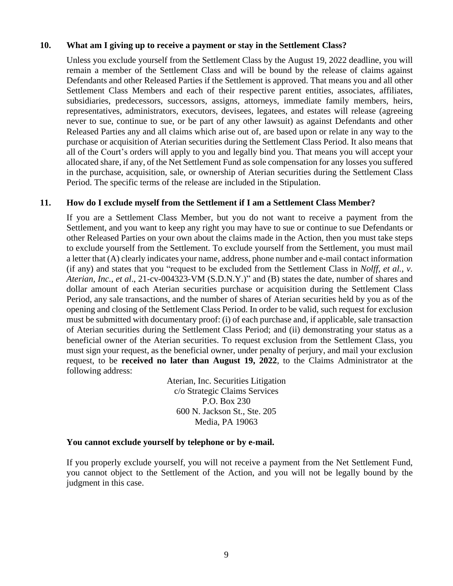### **10. What am I giving up to receive a payment or stay in the Settlement Class?**

Unless you exclude yourself from the Settlement Class by the August 19, 2022 deadline, you will remain a member of the Settlement Class and will be bound by the release of claims against Defendants and other Released Parties if the Settlement is approved. That means you and all other Settlement Class Members and each of their respective parent entities, associates, affiliates, subsidiaries, predecessors, successors, assigns, attorneys, immediate family members, heirs, representatives, administrators, executors, devisees, legatees, and estates will release (agreeing never to sue, continue to sue, or be part of any other lawsuit) as against Defendants and other Released Parties any and all claims which arise out of, are based upon or relate in any way to the purchase or acquisition of Aterian securities during the Settlement Class Period. It also means that all of the Court's orders will apply to you and legally bind you. That means you will accept your allocated share, if any, of the Net Settlement Fund as sole compensation for any losses you suffered in the purchase, acquisition, sale, or ownership of Aterian securities during the Settlement Class Period. The specific terms of the release are included in the Stipulation.

### **11. How do I exclude myself from the Settlement if I am a Settlement Class Member?**

If you are a Settlement Class Member, but you do not want to receive a payment from the Settlement, and you want to keep any right you may have to sue or continue to sue Defendants or other Released Parties on your own about the claims made in the Action, then you must take steps to exclude yourself from the Settlement. To exclude yourself from the Settlement, you must mail a letter that (A) clearly indicates your name, address, phone number and e-mail contact information (if any) and states that you "request to be excluded from the Settlement Class in *Nolff, et al., v. Aterian, Inc.*, *et al*., 21-cv-004323-VM (S.D.N.Y.)" and (B) states the date, number of shares and dollar amount of each Aterian securities purchase or acquisition during the Settlement Class Period, any sale transactions, and the number of shares of Aterian securities held by you as of the opening and closing of the Settlement Class Period. In order to be valid, such request for exclusion must be submitted with documentary proof: (i) of each purchase and, if applicable, sale transaction of Aterian securities during the Settlement Class Period; and (ii) demonstrating your status as a beneficial owner of the Aterian securities. To request exclusion from the Settlement Class, you must sign your request, as the beneficial owner, under penalty of perjury, and mail your exclusion request, to be **received no later than August 19, 2022**, to the Claims Administrator at the following address:

> Aterian, Inc. Securities Litigation c/o Strategic Claims Services P.O. Box 230 600 N. Jackson St., Ste. 205 Media, PA 19063

### **You cannot exclude yourself by telephone or by e-mail.**

If you properly exclude yourself, you will not receive a payment from the Net Settlement Fund, you cannot object to the Settlement of the Action, and you will not be legally bound by the judgment in this case.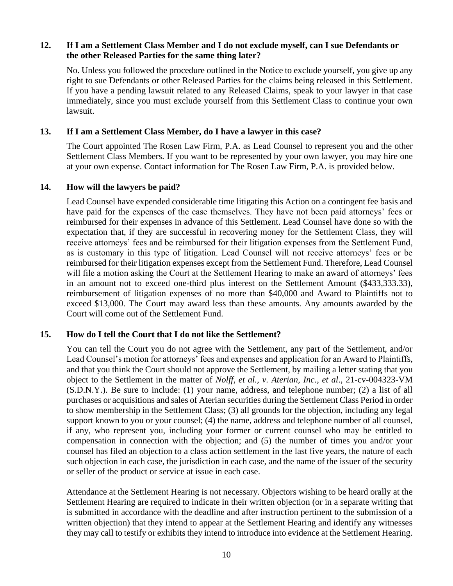### **12. If I am a Settlement Class Member and I do not exclude myself, can I sue Defendants or the other Released Parties for the same thing later?**

No. Unless you followed the procedure outlined in the Notice to exclude yourself, you give up any right to sue Defendants or other Released Parties for the claims being released in this Settlement. If you have a pending lawsuit related to any Released Claims, speak to your lawyer in that case immediately, since you must exclude yourself from this Settlement Class to continue your own lawsuit.

### **13. If I am a Settlement Class Member, do I have a lawyer in this case?**

The Court appointed The Rosen Law Firm, P.A. as Lead Counsel to represent you and the other Settlement Class Members. If you want to be represented by your own lawyer, you may hire one at your own expense. Contact information for The Rosen Law Firm, P.A. is provided below.

#### **14. How will the lawyers be paid?**

Lead Counsel have expended considerable time litigating this Action on a contingent fee basis and have paid for the expenses of the case themselves. They have not been paid attorneys' fees or reimbursed for their expenses in advance of this Settlement. Lead Counsel have done so with the expectation that, if they are successful in recovering money for the Settlement Class, they will receive attorneys' fees and be reimbursed for their litigation expenses from the Settlement Fund, as is customary in this type of litigation. Lead Counsel will not receive attorneys' fees or be reimbursed for their litigation expenses except from the Settlement Fund. Therefore, Lead Counsel will file a motion asking the Court at the Settlement Hearing to make an award of attorneys' fees in an amount not to exceed one-third plus interest on the Settlement Amount (\$433,333.33), reimbursement of litigation expenses of no more than \$40,000 and Award to Plaintiffs not to exceed \$13,000. The Court may award less than these amounts. Any amounts awarded by the Court will come out of the Settlement Fund.

### **15. How do I tell the Court that I do not like the Settlement?**

You can tell the Court you do not agree with the Settlement, any part of the Settlement, and/or Lead Counsel's motion for attorneys' fees and expenses and application for an Award to Plaintiffs, and that you think the Court should not approve the Settlement, by mailing a letter stating that you object to the Settlement in the matter of *Nolff, et al., v. Aterian, Inc.*, *et al*., 21-cv-004323-VM (S.D.N.Y.). Be sure to include: (1) your name, address, and telephone number; (2) a list of all purchases or acquisitions and sales of Aterian securities during the Settlement Class Period in order to show membership in the Settlement Class; (3) all grounds for the objection, including any legal support known to you or your counsel; (4) the name, address and telephone number of all counsel, if any, who represent you, including your former or current counsel who may be entitled to compensation in connection with the objection; and (5) the number of times you and/or your counsel has filed an objection to a class action settlement in the last five years, the nature of each such objection in each case, the jurisdiction in each case, and the name of the issuer of the security or seller of the product or service at issue in each case.

Attendance at the Settlement Hearing is not necessary. Objectors wishing to be heard orally at the Settlement Hearing are required to indicate in their written objection (or in a separate writing that is submitted in accordance with the deadline and after instruction pertinent to the submission of a written objection) that they intend to appear at the Settlement Hearing and identify any witnesses they may call to testify or exhibits they intend to introduce into evidence at the Settlement Hearing.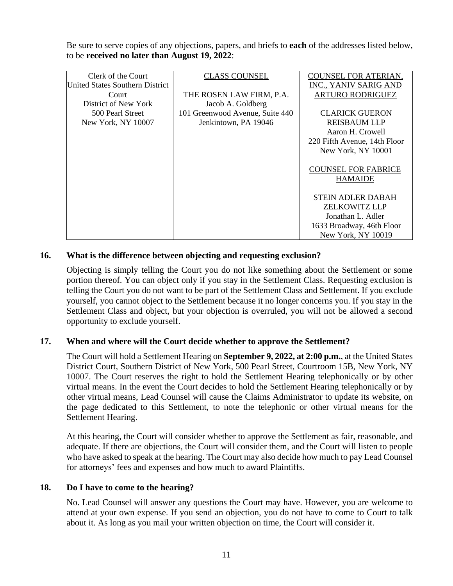Be sure to serve copies of any objections, papers, and briefs to **each** of the addresses listed below, to be **received no later than August 19, 2022**:

| Clerk of the Court              | <b>CLASS COUNSEL</b>            | <b>COUNSEL FOR ATERIAN,</b>  |
|---------------------------------|---------------------------------|------------------------------|
| United States Southern District |                                 | INC., YANIV SARIG AND        |
| Court                           | THE ROSEN LAW FIRM, P.A.        | <b>ARTURO RODRIGUEZ</b>      |
| District of New York            | Jacob A. Goldberg               |                              |
| 500 Pearl Street                | 101 Greenwood Avenue, Suite 440 | <b>CLARICK GUERON</b>        |
| New York, NY 10007              | Jenkintown, PA 19046            | <b>REISBAUM LLP</b>          |
|                                 |                                 | Aaron H. Crowell             |
|                                 |                                 | 220 Fifth Avenue, 14th Floor |
|                                 |                                 | New York, NY 10001           |
|                                 |                                 |                              |
|                                 |                                 | <b>COUNSEL FOR FABRICE</b>   |
|                                 |                                 | <b>HAMAIDE</b>               |
|                                 |                                 |                              |
|                                 |                                 | <b>STEIN ADLER DABAH</b>     |
|                                 |                                 | <b>ZELKOWITZ LLP</b>         |
|                                 |                                 | Jonathan L. Adler            |
|                                 |                                 | 1633 Broadway, 46th Floor    |
|                                 |                                 | New York, NY 10019           |

## **16. What is the difference between objecting and requesting exclusion?**

Objecting is simply telling the Court you do not like something about the Settlement or some portion thereof. You can object only if you stay in the Settlement Class. Requesting exclusion is telling the Court you do not want to be part of the Settlement Class and Settlement. If you exclude yourself, you cannot object to the Settlement because it no longer concerns you. If you stay in the Settlement Class and object, but your objection is overruled, you will not be allowed a second opportunity to exclude yourself.

### **17. When and where will the Court decide whether to approve the Settlement?**

The Court will hold a Settlement Hearing on **September 9, 2022, at 2:00 p.m.**, at the United States District Court, Southern District of New York, 500 Pearl Street, Courtroom 15B, New York, NY 10007. The Court reserves the right to hold the Settlement Hearing telephonically or by other virtual means. In the event the Court decides to hold the Settlement Hearing telephonically or by other virtual means, Lead Counsel will cause the Claims Administrator to update its website, on the page dedicated to this Settlement, to note the telephonic or other virtual means for the Settlement Hearing.

At this hearing, the Court will consider whether to approve the Settlement as fair, reasonable, and adequate. If there are objections, the Court will consider them, and the Court will listen to people who have asked to speak at the hearing. The Court may also decide how much to pay Lead Counsel for attorneys' fees and expenses and how much to award Plaintiffs.

### **18. Do I have to come to the hearing?**

No. Lead Counsel will answer any questions the Court may have. However, you are welcome to attend at your own expense. If you send an objection, you do not have to come to Court to talk about it. As long as you mail your written objection on time, the Court will consider it.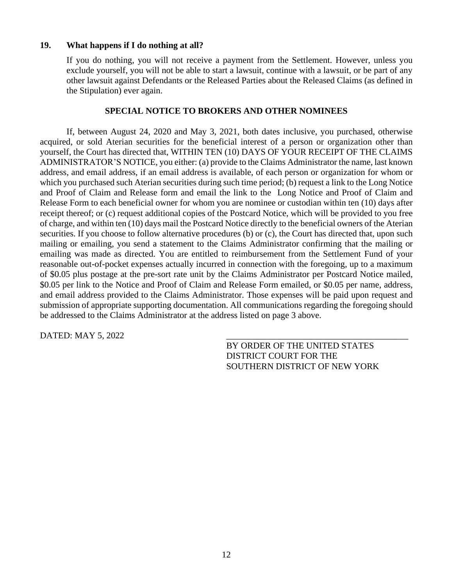### **19. What happens if I do nothing at all?**

If you do nothing, you will not receive a payment from the Settlement. However, unless you exclude yourself, you will not be able to start a lawsuit, continue with a lawsuit, or be part of any other lawsuit against Defendants or the Released Parties about the Released Claims (as defined in the Stipulation) ever again.

#### **SPECIAL NOTICE TO BROKERS AND OTHER NOMINEES**

If, between August 24, 2020 and May 3, 2021, both dates inclusive, you purchased, otherwise acquired, or sold Aterian securities for the beneficial interest of a person or organization other than yourself, the Court has directed that, WITHIN TEN (10) DAYS OF YOUR RECEIPT OF THE CLAIMS ADMINISTRATOR'S NOTICE, you either: (a) provide to the Claims Administrator the name, last known address, and email address, if an email address is available, of each person or organization for whom or which you purchased such Aterian securities during such time period; (b) request a link to the Long Notice and Proof of Claim and Release form and email the link to the Long Notice and Proof of Claim and Release Form to each beneficial owner for whom you are nominee or custodian within ten (10) days after receipt thereof; or (c) request additional copies of the Postcard Notice, which will be provided to you free of charge, and within ten (10) days mail the Postcard Notice directly to the beneficial owners of the Aterian securities. If you choose to follow alternative procedures (b) or (c), the Court has directed that, upon such mailing or emailing, you send a statement to the Claims Administrator confirming that the mailing or emailing was made as directed. You are entitled to reimbursement from the Settlement Fund of your reasonable out-of-pocket expenses actually incurred in connection with the foregoing, up to a maximum of \$0.05 plus postage at the pre-sort rate unit by the Claims Administrator per Postcard Notice mailed, \$0.05 per link to the Notice and Proof of Claim and Release Form emailed, or \$0.05 per name, address, and email address provided to the Claims Administrator. Those expenses will be paid upon request and submission of appropriate supporting documentation. All communications regarding the foregoing should be addressed to the Claims Administrator at the address listed on page 3 above.

DATED: MAY 5, 2022

BY ORDER OF THE UNITED STATES DISTRICT COURT FOR THE SOUTHERN DISTRICT OF NEW YORK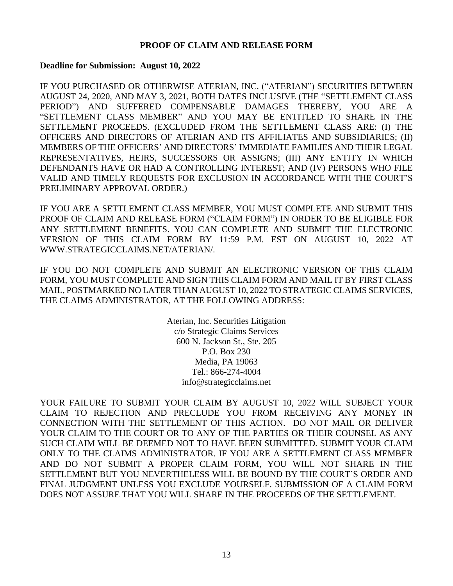### **PROOF OF CLAIM AND RELEASE FORM**

#### **Deadline for Submission: August 10, 2022**

IF YOU PURCHASED OR OTHERWISE ATERIAN, INC. ("ATERIAN") SECURITIES BETWEEN AUGUST 24, 2020, AND MAY 3, 2021, BOTH DATES INCLUSIVE (THE "SETTLEMENT CLASS PERIOD") AND SUFFERED COMPENSABLE DAMAGES THEREBY, YOU ARE A "SETTLEMENT CLASS MEMBER" AND YOU MAY BE ENTITLED TO SHARE IN THE SETTLEMENT PROCEEDS. (EXCLUDED FROM THE SETTLEMENT CLASS ARE: (I) THE OFFICERS AND DIRECTORS OF ATERIAN AND ITS AFFILIATES AND SUBSIDIARIES; (II) MEMBERS OF THE OFFICERS' AND DIRECTORS' IMMEDIATE FAMILIES AND THEIR LEGAL REPRESENTATIVES, HEIRS, SUCCESSORS OR ASSIGNS; (III) ANY ENTITY IN WHICH DEFENDANTS HAVE OR HAD A CONTROLLING INTEREST; AND (IV) PERSONS WHO FILE VALID AND TIMELY REQUESTS FOR EXCLUSION IN ACCORDANCE WITH THE COURT'S PRELIMINARY APPROVAL ORDER.)

IF YOU ARE A SETTLEMENT CLASS MEMBER, YOU MUST COMPLETE AND SUBMIT THIS PROOF OF CLAIM AND RELEASE FORM ("CLAIM FORM") IN ORDER TO BE ELIGIBLE FOR ANY SETTLEMENT BENEFITS. YOU CAN COMPLETE AND SUBMIT THE ELECTRONIC VERSION OF THIS CLAIM FORM BY 11:59 P.M. EST ON AUGUST 10, 2022 AT WWW.STRATEGICCLAIMS.NET/ATERIAN/.

IF YOU DO NOT COMPLETE AND SUBMIT AN ELECTRONIC VERSION OF THIS CLAIM FORM, YOU MUST COMPLETE AND SIGN THIS CLAIM FORM AND MAIL IT BY FIRST CLASS MAIL, POSTMARKED NO LATER THAN AUGUST 10, 2022 TO STRATEGIC CLAIMS SERVICES, THE CLAIMS ADMINISTRATOR, AT THE FOLLOWING ADDRESS:

> Aterian, Inc. Securities Litigation c/o Strategic Claims Services 600 N. Jackson St., Ste. 205 P.O. Box 230 Media, PA 19063 Tel.: 866-274-4004 info@strategicclaims.net

YOUR FAILURE TO SUBMIT YOUR CLAIM BY AUGUST 10, 2022 WILL SUBJECT YOUR CLAIM TO REJECTION AND PRECLUDE YOU FROM RECEIVING ANY MONEY IN CONNECTION WITH THE SETTLEMENT OF THIS ACTION. DO NOT MAIL OR DELIVER YOUR CLAIM TO THE COURT OR TO ANY OF THE PARTIES OR THEIR COUNSEL AS ANY SUCH CLAIM WILL BE DEEMED NOT TO HAVE BEEN SUBMITTED. SUBMIT YOUR CLAIM ONLY TO THE CLAIMS ADMINISTRATOR. IF YOU ARE A SETTLEMENT CLASS MEMBER AND DO NOT SUBMIT A PROPER CLAIM FORM, YOU WILL NOT SHARE IN THE SETTLEMENT BUT YOU NEVERTHELESS WILL BE BOUND BY THE COURT'S ORDER AND FINAL JUDGMENT UNLESS YOU EXCLUDE YOURSELF. SUBMISSION OF A CLAIM FORM DOES NOT ASSURE THAT YOU WILL SHARE IN THE PROCEEDS OF THE SETTLEMENT.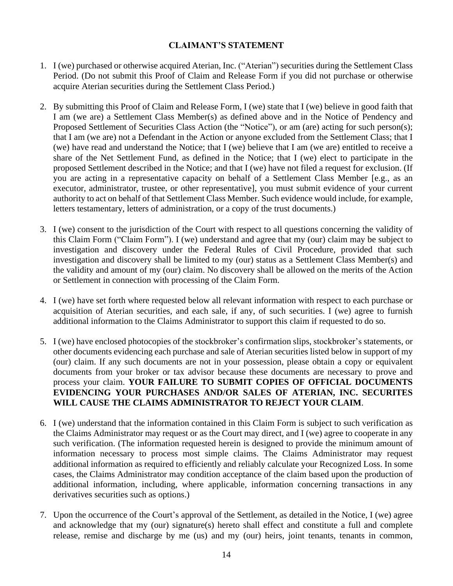## **CLAIMANT'S STATEMENT**

- 1. I (we) purchased or otherwise acquired Aterian, Inc. ("Aterian") securities during the Settlement Class Period. (Do not submit this Proof of Claim and Release Form if you did not purchase or otherwise acquire Aterian securities during the Settlement Class Period.)
- 2. By submitting this Proof of Claim and Release Form, I (we) state that I (we) believe in good faith that I am (we are) a Settlement Class Member(s) as defined above and in the Notice of Pendency and Proposed Settlement of Securities Class Action (the "Notice"), or am (are) acting for such person(s); that I am (we are) not a Defendant in the Action or anyone excluded from the Settlement Class; that I (we) have read and understand the Notice; that I (we) believe that I am (we are) entitled to receive a share of the Net Settlement Fund, as defined in the Notice; that I (we) elect to participate in the proposed Settlement described in the Notice; and that I (we) have not filed a request for exclusion. (If you are acting in a representative capacity on behalf of a Settlement Class Member [e.g., as an executor, administrator, trustee, or other representative], you must submit evidence of your current authority to act on behalf of that Settlement Class Member. Such evidence would include, for example, letters testamentary, letters of administration, or a copy of the trust documents.)
- 3. I (we) consent to the jurisdiction of the Court with respect to all questions concerning the validity of this Claim Form ("Claim Form"). I (we) understand and agree that my (our) claim may be subject to investigation and discovery under the Federal Rules of Civil Procedure, provided that such investigation and discovery shall be limited to my (our) status as a Settlement Class Member(s) and the validity and amount of my (our) claim. No discovery shall be allowed on the merits of the Action or Settlement in connection with processing of the Claim Form.
- 4. I (we) have set forth where requested below all relevant information with respect to each purchase or acquisition of Aterian securities, and each sale, if any, of such securities. I (we) agree to furnish additional information to the Claims Administrator to support this claim if requested to do so.
- 5. I (we) have enclosed photocopies of the stockbroker's confirmation slips, stockbroker's statements, or other documents evidencing each purchase and sale of Aterian securities listed below in support of my (our) claim. If any such documents are not in your possession, please obtain a copy or equivalent documents from your broker or tax advisor because these documents are necessary to prove and process your claim. **YOUR FAILURE TO SUBMIT COPIES OF OFFICIAL DOCUMENTS EVIDENCING YOUR PURCHASES AND/OR SALES OF ATERIAN, INC. SECURITES WILL CAUSE THE CLAIMS ADMINISTRATOR TO REJECT YOUR CLAIM**.
- 6. I (we) understand that the information contained in this Claim Form is subject to such verification as the Claims Administrator may request or as the Court may direct, and I (we) agree to cooperate in any such verification. (The information requested herein is designed to provide the minimum amount of information necessary to process most simple claims. The Claims Administrator may request additional information as required to efficiently and reliably calculate your Recognized Loss. In some cases, the Claims Administrator may condition acceptance of the claim based upon the production of additional information, including, where applicable, information concerning transactions in any derivatives securities such as options.)
- 7. Upon the occurrence of the Court's approval of the Settlement, as detailed in the Notice, I (we) agree and acknowledge that my (our) signature(s) hereto shall effect and constitute a full and complete release, remise and discharge by me (us) and my (our) heirs, joint tenants, tenants in common,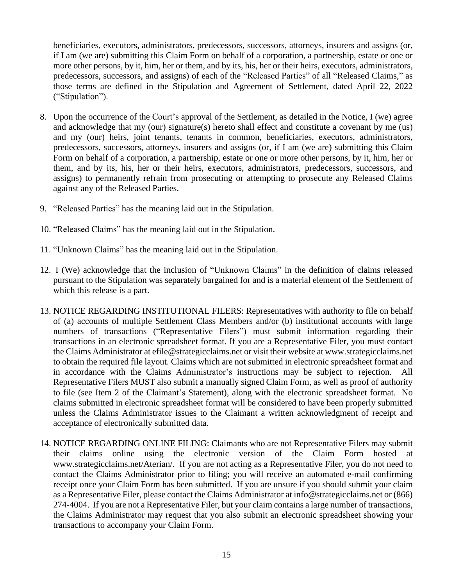beneficiaries, executors, administrators, predecessors, successors, attorneys, insurers and assigns (or, if I am (we are) submitting this Claim Form on behalf of a corporation, a partnership, estate or one or more other persons, by it, him, her or them, and by its, his, her or their heirs, executors, administrators, predecessors, successors, and assigns) of each of the "Released Parties" of all "Released Claims," as those terms are defined in the Stipulation and Agreement of Settlement, dated April 22, 2022 ("Stipulation").

- 8. Upon the occurrence of the Court's approval of the Settlement, as detailed in the Notice, I (we) agree and acknowledge that my (our) signature(s) hereto shall effect and constitute a covenant by me (us) and my (our) heirs, joint tenants, tenants in common, beneficiaries, executors, administrators, predecessors, successors, attorneys, insurers and assigns (or, if I am (we are) submitting this Claim Form on behalf of a corporation, a partnership, estate or one or more other persons, by it, him, her or them, and by its, his, her or their heirs, executors, administrators, predecessors, successors, and assigns) to permanently refrain from prosecuting or attempting to prosecute any Released Claims against any of the Released Parties.
- 9. "Released Parties" has the meaning laid out in the Stipulation.
- 10. "Released Claims" has the meaning laid out in the Stipulation.
- 11. "Unknown Claims" has the meaning laid out in the Stipulation.
- 12. I (We) acknowledge that the inclusion of "Unknown Claims" in the definition of claims released pursuant to the Stipulation was separately bargained for and is a material element of the Settlement of which this release is a part.
- 13. NOTICE REGARDING INSTITUTIONAL FILERS: Representatives with authority to file on behalf of (a) accounts of multiple Settlement Class Members and/or (b) institutional accounts with large numbers of transactions ("Representative Filers") must submit information regarding their transactions in an electronic spreadsheet format. If you are a Representative Filer, you must contact the Claims Administrator at efile@strategicclaims.net or visit their website at www.strategicclaims.net to obtain the required file layout. Claims which are not submitted in electronic spreadsheet format and in accordance with the Claims Administrator's instructions may be subject to rejection. All Representative Filers MUST also submit a manually signed Claim Form, as well as proof of authority to file (see Item 2 of the Claimant's Statement), along with the electronic spreadsheet format. No claims submitted in electronic spreadsheet format will be considered to have been properly submitted unless the Claims Administrator issues to the Claimant a written acknowledgment of receipt and acceptance of electronically submitted data.
- 14. NOTICE REGARDING ONLINE FILING: Claimants who are not Representative Filers may submit their claims online using the electronic version of the Claim Form hosted at www.strategicclaims.net/Aterian/. If you are not acting as a Representative Filer, you do not need to contact the Claims Administrator prior to filing; you will receive an automated e-mail confirming receipt once your Claim Form has been submitted. If you are unsure if you should submit your claim as a Representative Filer, please contact the Claims Administrator at info@strategicclaims.net or (866) 274-4004. If you are not a Representative Filer, but your claim contains a large number of transactions, the Claims Administrator may request that you also submit an electronic spreadsheet showing your transactions to accompany your Claim Form.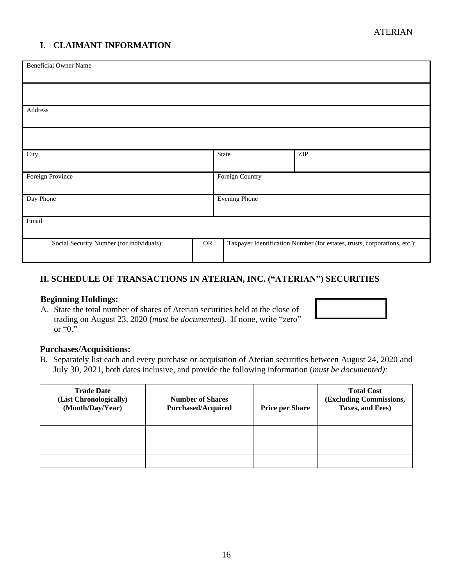# **I. CLAIMANT INFORMATION**

| <b>Beneficial Owner Name</b>              |            |                      |                                                                           |
|-------------------------------------------|------------|----------------------|---------------------------------------------------------------------------|
|                                           |            |                      |                                                                           |
| Address                                   |            |                      |                                                                           |
|                                           |            |                      |                                                                           |
| City                                      |            | State                | $\ensuremath{\mathrm{ZIP}}$                                               |
| Foreign Province                          |            | Foreign Country      |                                                                           |
| Day Phone                                 |            | <b>Evening Phone</b> |                                                                           |
| Email                                     |            |                      |                                                                           |
| Social Security Number (for individuals): | ${\sf OR}$ |                      | Taxpayer Identification Number (for estates, trusts, corporations, etc.): |

# **II. SCHEDULE OF TRANSACTIONS IN ATERIAN, INC. ("ATERIAN") SECURITIES**

### **Beginning Holdings:**

A. State the total number of shares of Aterian securities held at the close of trading on August 23, 2020 (*must be documented).* If none, write "zero" or "0."

#### **Purchases/Acquisitions:**

B. Separately list each and every purchase or acquisition of Aterian securities between August 24, 2020 and July 30, 2021, both dates inclusive, and provide the following information (*must be documented):*

| <b>Trade Date</b><br>(List Chronologically)<br>(Month/Day/Year) | <b>Number of Shares</b><br><b>Purchased/Acquired</b> | <b>Price per Share</b> | <b>Total Cost</b><br>(Excluding Commissions,<br>Taxes, and Fees) |
|-----------------------------------------------------------------|------------------------------------------------------|------------------------|------------------------------------------------------------------|
|                                                                 |                                                      |                        |                                                                  |
|                                                                 |                                                      |                        |                                                                  |
|                                                                 |                                                      |                        |                                                                  |
|                                                                 |                                                      |                        |                                                                  |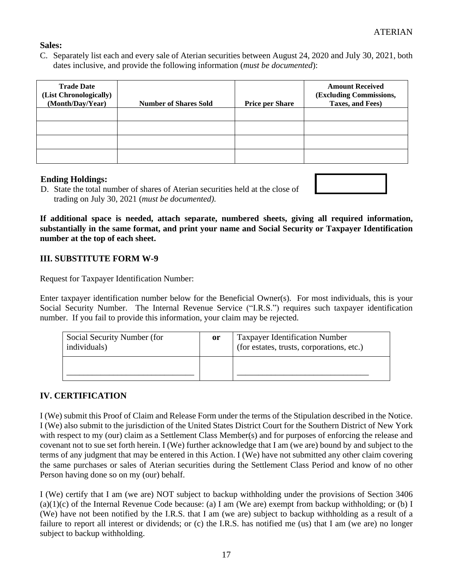## **Sales:**

C. Separately list each and every sale of Aterian securities between August 24, 2020 and July 30, 2021, both dates inclusive, and provide the following information (*must be documented*):

| <b>Trade Date</b><br>(List Chronologically)<br>(Month/Day/Year) | <b>Number of Shares Sold</b> | <b>Price per Share</b> | <b>Amount Received</b><br>(Excluding Commissions,<br>Taxes, and Fees) |
|-----------------------------------------------------------------|------------------------------|------------------------|-----------------------------------------------------------------------|
|                                                                 |                              |                        |                                                                       |
|                                                                 |                              |                        |                                                                       |
|                                                                 |                              |                        |                                                                       |
|                                                                 |                              |                        |                                                                       |

### **Ending Holdings:**

D. State the total number of shares of Aterian securities held at the close of trading on July 30, 2021 (*must be documented).*

**If additional space is needed, attach separate, numbered sheets, giving all required information, substantially in the same format, and print your name and Social Security or Taxpayer Identification number at the top of each sheet.**

## **III. SUBSTITUTE FORM W-9**

Request for Taxpayer Identification Number:

Enter taxpayer identification number below for the Beneficial Owner(s). For most individuals, this is your Social Security Number. The Internal Revenue Service ("I.R.S.") requires such taxpayer identification number. If you fail to provide this information, your claim may be rejected.

| Social Security Number (for<br>individuals) | or | <b>Taxpayer Identification Number</b><br>(for estates, trusts, corporations, etc.) |
|---------------------------------------------|----|------------------------------------------------------------------------------------|
|                                             |    |                                                                                    |

## **IV. CERTIFICATION**

I (We) submit this Proof of Claim and Release Form under the terms of the Stipulation described in the Notice. I (We) also submit to the jurisdiction of the United States District Court for the Southern District of New York with respect to my (our) claim as a Settlement Class Member(s) and for purposes of enforcing the release and covenant not to sue set forth herein. I (We) further acknowledge that I am (we are) bound by and subject to the terms of any judgment that may be entered in this Action. I (We) have not submitted any other claim covering the same purchases or sales of Aterian securities during the Settlement Class Period and know of no other Person having done so on my (our) behalf.

I (We) certify that I am (we are) NOT subject to backup withholding under the provisions of Section 3406  $(a)(1)(c)$  of the Internal Revenue Code because: (a) I am (We are) exempt from backup withholding; or (b) I (We) have not been notified by the I.R.S. that I am (we are) subject to backup withholding as a result of a failure to report all interest or dividends; or (c) the I.R.S. has notified me (us) that I am (we are) no longer subject to backup withholding.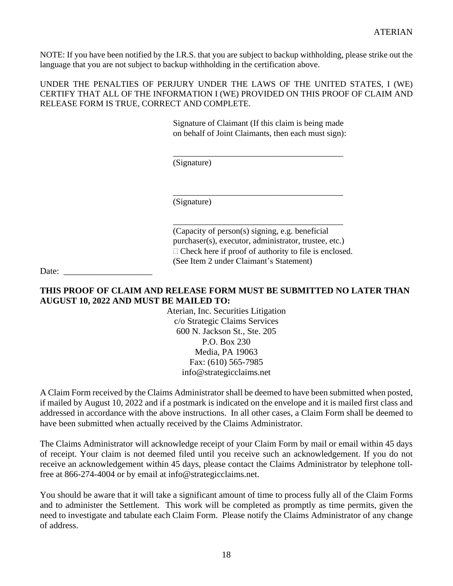NOTE: If you have been notified by the I.R.S. that you are subject to backup withholding, please strike out the language that you are not subject to backup withholding in the certification above.

UNDER THE PENALTIES OF PERJURY UNDER THE LAWS OF THE UNITED STATES, I (WE) CERTIFY THAT ALL OF THE INFORMATION I (WE) PROVIDED ON THIS PROOF OF CLAIM AND RELEASE FORM IS TRUE, CORRECT AND COMPLETE.

> Signature of Claimant (If this claim is being made on behalf of Joint Claimants, then each must sign):

\_\_\_\_\_\_\_\_\_\_\_\_\_\_\_\_\_\_\_\_\_\_\_\_\_\_\_\_\_\_\_\_\_\_\_\_\_\_\_\_

(Signature)

\_\_\_\_\_\_\_\_\_\_\_\_\_\_\_\_\_\_\_\_\_\_\_\_\_\_\_\_\_\_\_\_\_\_\_\_\_\_\_\_ (Signature)

(Capacity of person(s) signing, e.g. beneficial purchaser(s), executor, administrator, trustee, etc.)  $\Box$  Check here if proof of authority to file is enclosed. (See Item 2 under Claimant's Statement)

\_\_\_\_\_\_\_\_\_\_\_\_\_\_\_\_\_\_\_\_\_\_\_\_\_\_\_\_\_\_\_\_\_\_\_\_\_\_\_\_

Date:

### **THIS PROOF OF CLAIM AND RELEASE FORM MUST BE SUBMITTED NO LATER THAN AUGUST 10, 2022 AND MUST BE MAILED TO:**

Aterian, Inc. Securities Litigation c/o Strategic Claims Services 600 N. Jackson St., Ste. 205 P.O. Box 230 Media, PA 19063 Fax: (610) 565-7985 info@strategicclaims.net

A Claim Form received by the Claims Administrator shall be deemed to have been submitted when posted, if mailed by August 10, 2022 and if a postmark is indicated on the envelope and it is mailed first class and addressed in accordance with the above instructions. In all other cases, a Claim Form shall be deemed to have been submitted when actually received by the Claims Administrator.

The Claims Administrator will acknowledge receipt of your Claim Form by mail or email within 45 days of receipt. Your claim is not deemed filed until you receive such an acknowledgement. If you do not receive an acknowledgement within 45 days, please contact the Claims Administrator by telephone tollfree at 866-274-4004 or by email at info@strategicclaims.net.

You should be aware that it will take a significant amount of time to process fully all of the Claim Forms and to administer the Settlement. This work will be completed as promptly as time permits, given the need to investigate and tabulate each Claim Form. Please notify the Claims Administrator of any change of address.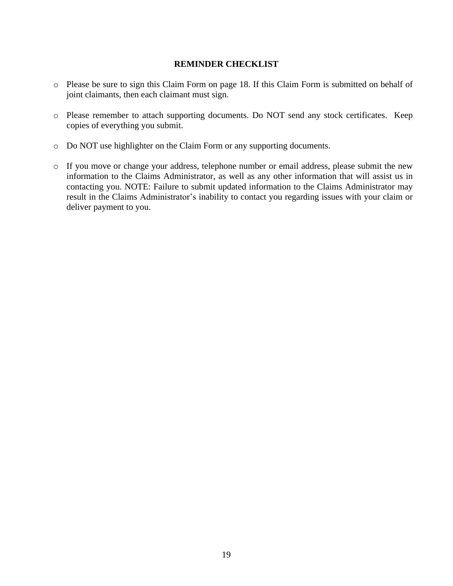#### **REMINDER CHECKLIST**

- o Please be sure to sign this Claim Form on page 18. If this Claim Form is submitted on behalf of joint claimants, then each claimant must sign.
- o Please remember to attach supporting documents. Do NOT send any stock certificates. Keep copies of everything you submit.
- o Do NOT use highlighter on the Claim Form or any supporting documents.
- o If you move or change your address, telephone number or email address, please submit the new information to the Claims Administrator, as well as any other information that will assist us in contacting you. NOTE: Failure to submit updated information to the Claims Administrator may result in the Claims Administrator's inability to contact you regarding issues with your claim or deliver payment to you.